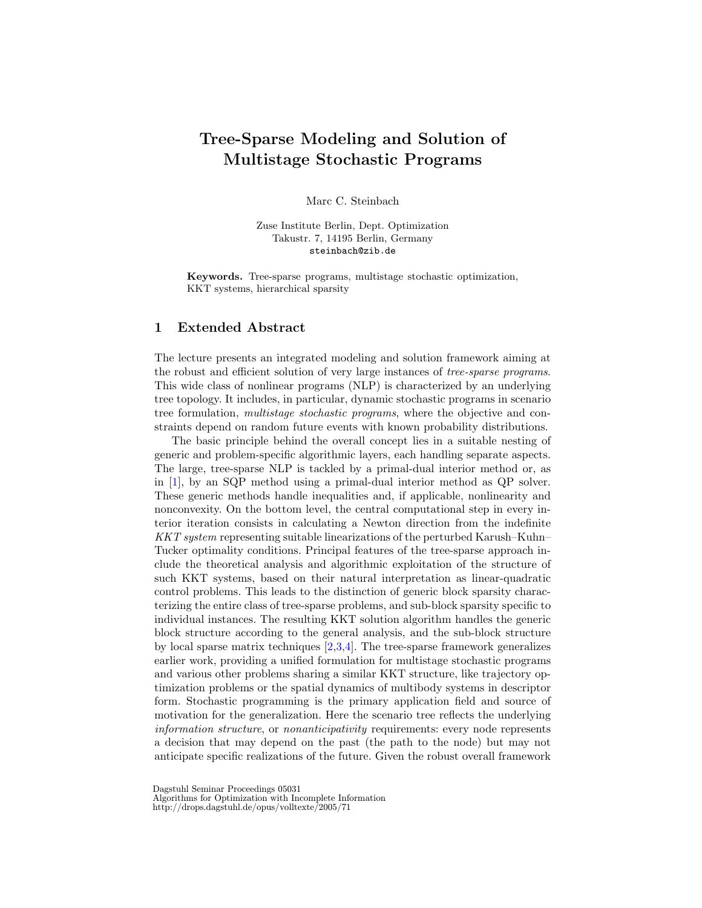## Tree-Sparse Modeling and Solution of Multistage Stochastic Programs

Marc C. Steinbach

Zuse Institute Berlin, Dept. Optimization Takustr. 7, 14195 Berlin, Germany steinbach@zib.de

Keywords. Tree-sparse programs, multistage stochastic optimization, KKT systems, hierarchical sparsity

## 1 Extended Abstract

The lecture presents an integrated modeling and solution framework aiming at the robust and efficient solution of very large instances of tree-sparse programs. This wide class of nonlinear programs (NLP) is characterized by an underlying tree topology. It includes, in particular, dynamic stochastic programs in scenario tree formulation, multistage stochastic programs, where the objective and constraints depend on random future events with known probability distributions.

The basic principle behind the overall concept lies in a suitable nesting of generic and problem-specific algorithmic layers, each handling separate aspects. The large, tree-sparse NLP is tackled by a primal-dual interior method or, as in [\[1\]](#page-2-0), by an SQP method using a primal-dual interior method as QP solver. These generic methods handle inequalities and, if applicable, nonlinearity and nonconvexity. On the bottom level, the central computational step in every interior iteration consists in calculating a Newton direction from the indefinite KKT system representing suitable linearizations of the perturbed Karush–Kuhn– Tucker optimality conditions. Principal features of the tree-sparse approach include the theoretical analysis and algorithmic exploitation of the structure of such KKT systems, based on their natural interpretation as linear-quadratic control problems. This leads to the distinction of generic block sparsity characterizing the entire class of tree-sparse problems, and sub-block sparsity specific to individual instances. The resulting KKT solution algorithm handles the generic block structure according to the general analysis, and the sub-block structure by local sparse matrix techniques [\[2,](#page-2-1)[3](#page-2-2)[,4\]](#page-2-3). The tree-sparse framework generalizes earlier work, providing a unified formulation for multistage stochastic programs and various other problems sharing a similar KKT structure, like trajectory optimization problems or the spatial dynamics of multibody systems in descriptor form. Stochastic programming is the primary application field and source of motivation for the generalization. Here the scenario tree reflects the underlying information structure, or nonanticipativity requirements: every node represents a decision that may depend on the past (the path to the node) but may not anticipate specific realizations of the future. Given the robust overall framework

Dagstuhl Seminar Proceedings 05031

Algorithms for Optimization with Incomplete Information

http://drops.dagstuhl.de/opus/volltexte/2005/71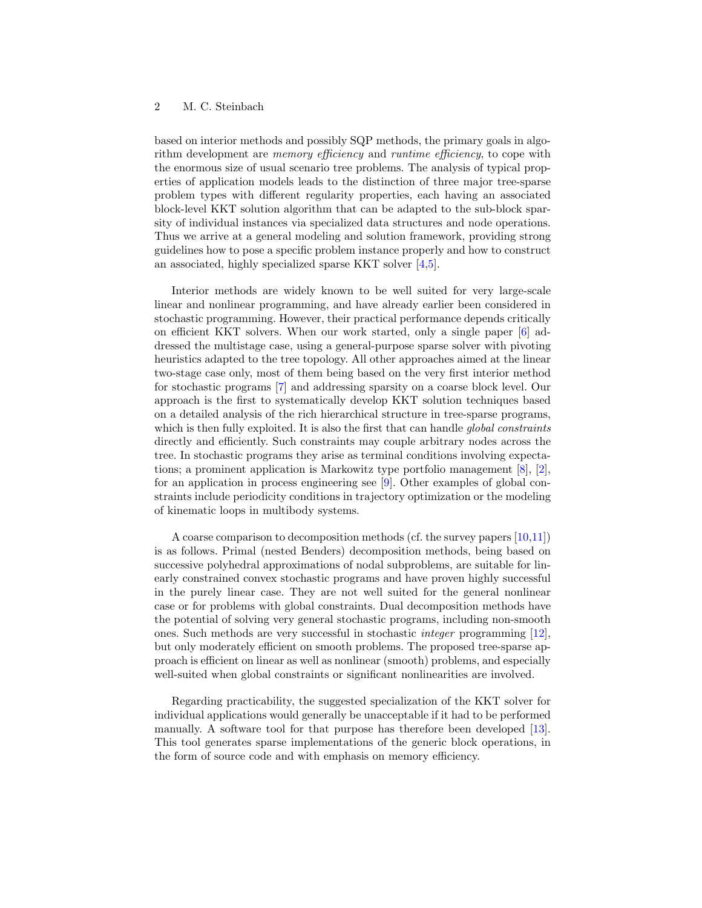## 2 M. C. Steinbach

based on interior methods and possibly SQP methods, the primary goals in algorithm development are *memory efficiency* and *runtime efficiency*, to cope with the enormous size of usual scenario tree problems. The analysis of typical properties of application models leads to the distinction of three major tree-sparse problem types with different regularity properties, each having an associated block-level KKT solution algorithm that can be adapted to the sub-block sparsity of individual instances via specialized data structures and node operations. Thus we arrive at a general modeling and solution framework, providing strong guidelines how to pose a specific problem instance properly and how to construct an associated, highly specialized sparse KKT solver [\[4](#page-2-3)[,5\]](#page-2-4).

Interior methods are widely known to be well suited for very large-scale linear and nonlinear programming, and have already earlier been considered in stochastic programming. However, their practical performance depends critically on efficient KKT solvers. When our work started, only a single paper [\[6\]](#page-2-5) addressed the multistage case, using a general-purpose sparse solver with pivoting heuristics adapted to the tree topology. All other approaches aimed at the linear two-stage case only, most of them being based on the very first interior method for stochastic programs [\[7\]](#page-2-6) and addressing sparsity on a coarse block level. Our approach is the first to systematically develop KKT solution techniques based on a detailed analysis of the rich hierarchical structure in tree-sparse programs, which is then fully exploited. It is also the first that can handle global constraints directly and efficiently. Such constraints may couple arbitrary nodes across the tree. In stochastic programs they arise as terminal conditions involving expectations; a prominent application is Markowitz type portfolio management [\[8\]](#page-2-7), [\[2\]](#page-2-1), for an application in process engineering see [\[9\]](#page-2-8). Other examples of global constraints include periodicity conditions in trajectory optimization or the modeling of kinematic loops in multibody systems.

A coarse comparison to decomposition methods (cf. the survey papers [\[10](#page-2-9)[,11\]](#page-2-10)) is as follows. Primal (nested Benders) decomposition methods, being based on successive polyhedral approximations of nodal subproblems, are suitable for linearly constrained convex stochastic programs and have proven highly successful in the purely linear case. They are not well suited for the general nonlinear case or for problems with global constraints. Dual decomposition methods have the potential of solving very general stochastic programs, including non-smooth ones. Such methods are very successful in stochastic integer programming [\[12\]](#page-2-11), but only moderately efficient on smooth problems. The proposed tree-sparse approach is efficient on linear as well as nonlinear (smooth) problems, and especially well-suited when global constraints or significant nonlinearities are involved.

Regarding practicability, the suggested specialization of the KKT solver for individual applications would generally be unacceptable if it had to be performed manually. A software tool for that purpose has therefore been developed [\[13\]](#page-2-12). This tool generates sparse implementations of the generic block operations, in the form of source code and with emphasis on memory efficiency.